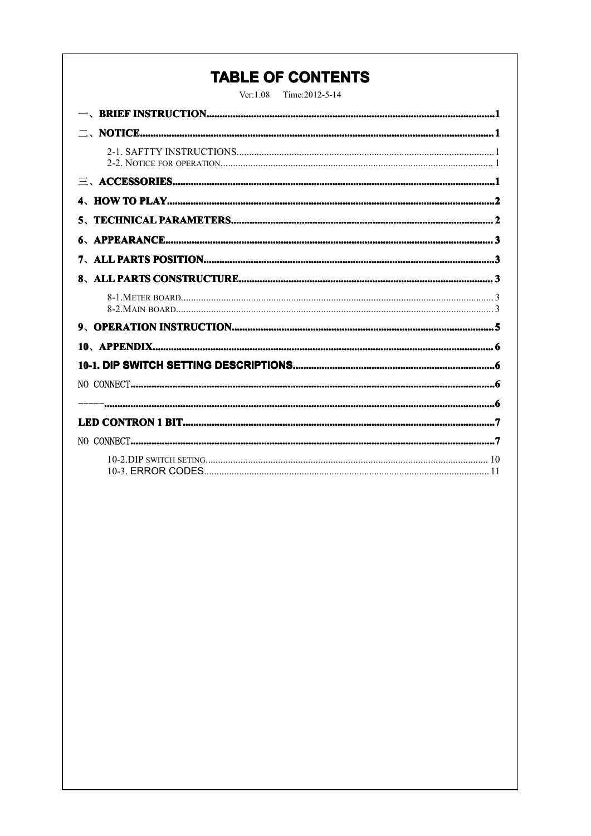# **TABLE OF CONTENTS**

Ver:1.08 Time:2012-5-14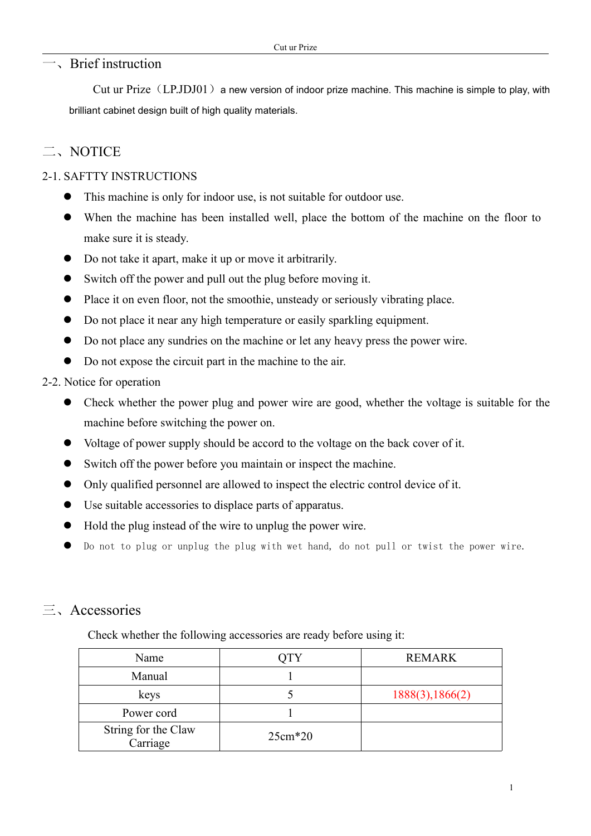### <span id="page-1-0"></span>一、Brief instruction

Cut ur Prize  $(LPJDJ01)$  a new version of indoor prize machine. This machine is simple to play, with brilliant cabinet design built of high quality materials.

## 二、NOTICE

### 2-1. SAFTTY INSTRUCTIONS

- $\bullet$ This machine is only for indoor use, is not suitable for outdoor use.
- $\bullet$  When the machine has been installed well, place the bottom of the machine on the floor to make sure it is steady.
- �Do not take it apart, make it up or move it arbitrarily.
- $\bullet$ Switch off the power and pull out the plug before moving it.
- $\bullet$ Place it on even floor, not the smoothie, unsteady or seriously vibrating place.
- $\bullet$ Do not place it near any high temperature or easily sparkling equipment.
- $\bullet$ Do not place any sundries on the machine or let any heavy press the power wire.
- $\bullet$ Do not expose the circuit par<sup>t</sup> in the machine to the air.

#### 2-2. Notice for operation

- � Check whether the power plug and power wire are good, whether the voltage is suitable for the machine before switching the power on.
	- $\bullet$ Voltage of power supply should be accord to the voltage on the back cover of it.
	- $\bullet$ Switch off the power before you maintain or inspect the machine.
	- $\bullet$ Only qualified personnel are allowed to inspect the electric control device of it.
	- $\bullet$ Use suitable accessories to displace parts of apparatus.
	- $\bullet$ Hold the plug instead of the wire to unplug the power wire.
	- $\bullet$ Do not to plug or unplug the plug with wet hand, do not pull or twist the power wire.

## 三、Accessories

Check whether the following accessories are ready before using it:

| Name                            | <b>OTY</b> | <b>REMARK</b>    |
|---------------------------------|------------|------------------|
| Manual                          |            |                  |
| keys                            |            | 1888(3), 1866(2) |
| Power cord                      |            |                  |
| String for the Claw<br>Carriage | $25cm*20$  |                  |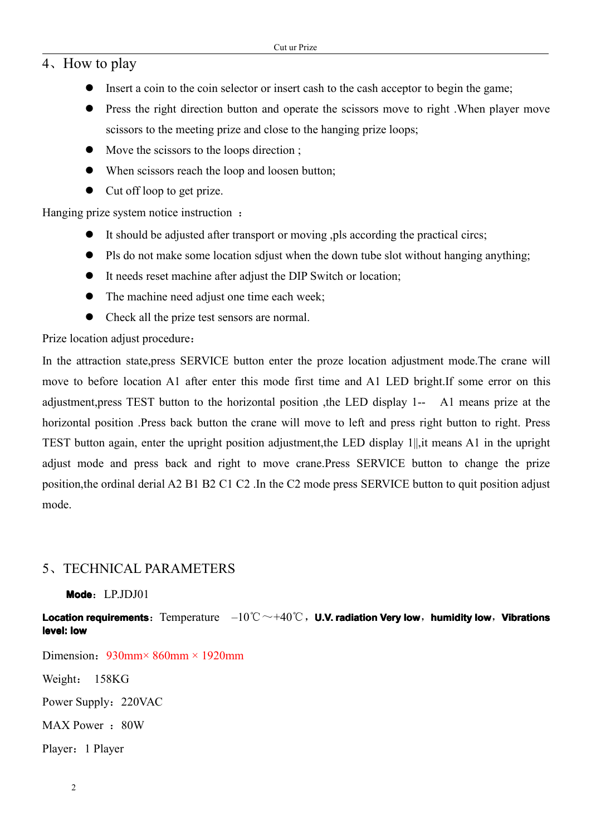## <sup>4</sup>、How to play

- <span id="page-2-0"></span> $\bullet$  Insert a coin to the coin selector or insert cash to the cash acceptor to begin the game;
- � Press the right direction button and operate the scissors move to right .When player move scissors to the meeting prize and close to the hanging prize loops;
- $\bullet$  Move the scissors to the loops direction ;
- When scissors reach the loop and loosen button;
- Cut off loop to get prize.

Hanging prize system notice instruction :

- It should be adjusted after transport or moving , pls according the practical circs;
- Pls do not make some location sdjust when the down tube slot without hanging anything;
- $\bullet$  It needs reset machine after adjust the DIP Switch or location;
- The machine need adjust one time each week;
- Check all the prize test sensors are normal.

Prize location adjust procedure:

In the attraction state,press SERVICE button enter the proze location adjustment mode.The crane will move to before location A1 after enter this mode first time and A1 LED bright.If some error on this adjustment,press TEST button to the horizontal position ,the LED display 1-- A1 means prize at the horizontal position .Press back button the crane will move to left and press right button to right. Press TEST button again, enter the upright position adjustment,the LED display 1||,it means A1 in the upright adjust mode and press back and right to move crane.Press SERVICE button to change the prize position,the ordinal derial A2 B1 B2 C1 C2 .In the C2 mode press SERVICE button to quit position adjust mode.

## 5、TECHNICAL PARAMETERS

**Mode**:LP.JDJ01

**Location requirements:** Temperature  $-10^{\circ}\text{C} \sim +40^{\circ}\text{C}$ , U.V. radiation Very low, humidity low, Vibrations **level: low**

Dimension:  $930$ mm ×  $860$ mm × 1920mm

Weight: 158KG

Power Supply: 220VAC

MAX Power: 80W

Player:1 Player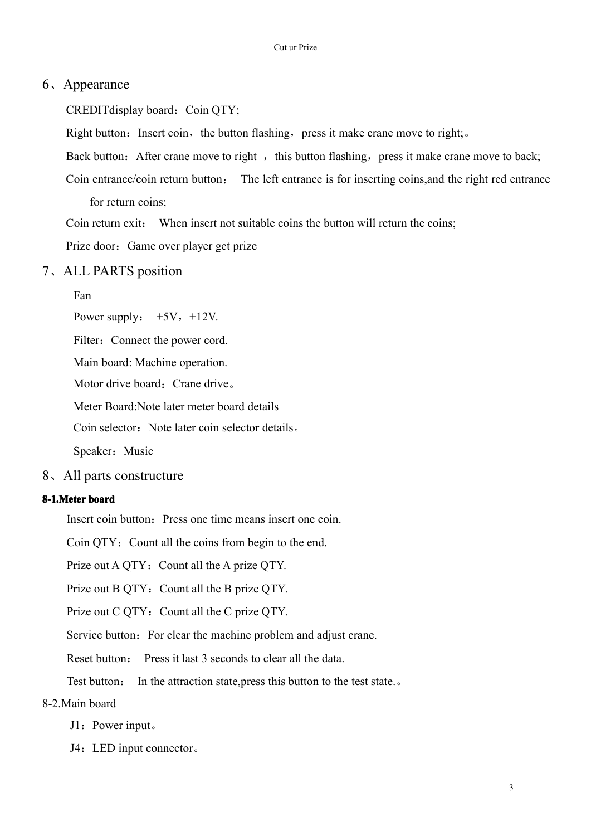### <span id="page-3-0"></span>6、Appearance

CREDITdisplay board: Coin QTY;

Right button: Insert coin, the button flashing, press it make crane move to right;..

Back button: After crane move to right, this button flashing, press it make crane move to back;

Coin entrance/coin return button: The left entrance is for inserting coins,and the right red entrance for return coins;

Coin return exit: When insert not suitable coins the button will return the coins;

Prize door: Game over player get prize

#### 7、ALL PARTS position

Fan

Power supply:  $+5V$ ,  $+12V$ .

Filter: Connect the power cord.

Main board: Machine operation.

Motor drive board: Crane drive。

Meter Board:Note later meter board details

Coin selector: Note later coin selector details.

Speaker: Music

8、All parts constructure

#### **8-1.Meter board**

Insert coin button: Press one time means insert one coin.

Coin QTY: Count all the coins from begin to the end.

Prize out A QTY: Count all the A prize QTY.

Prize out B QTY: Count all the B prize QTY.

Prize out C QTY: Count all the C prize QTY.

Service button: For clear the machine problem and adjust crane.

Reset button: Press it last 3 seconds to clear all the data.

Test button: In the attraction state, press this button to the test state...

### 8-2.Main board

- J1: Power input。
- J4:LED input connector。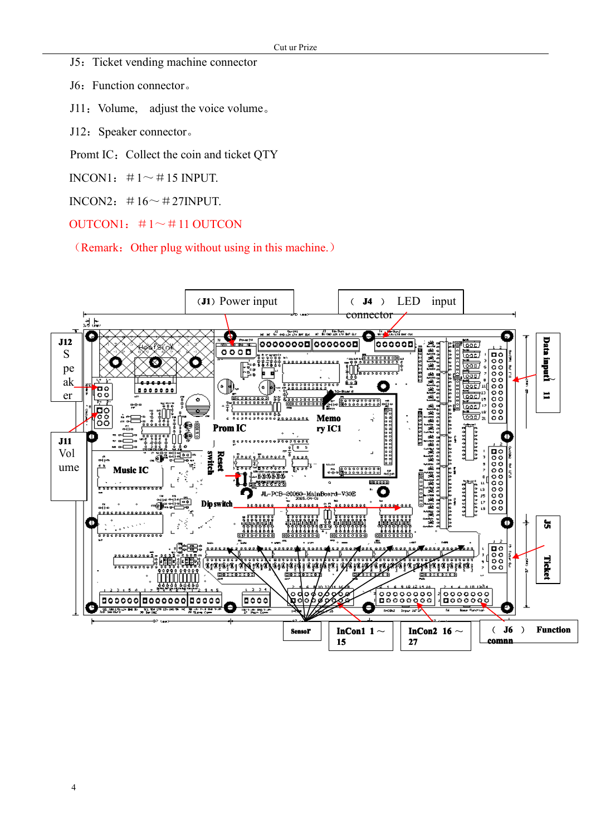J5: Ticket vending machine connector

J6: Function connector.

- J11: Volume, adjust the voice volume.
- J12: Speaker connector.
- Promt IC: Collect the coin and ticket QTY
- INCON1:  $\#1 \sim \#15$  INPUT.
- INCON2:  $\#16 \sim \#27$ INPUT.
- OUTCON1:  $\#1 \sim \#11$  OUTCON

(Remark: Other plug without using in this machine.)

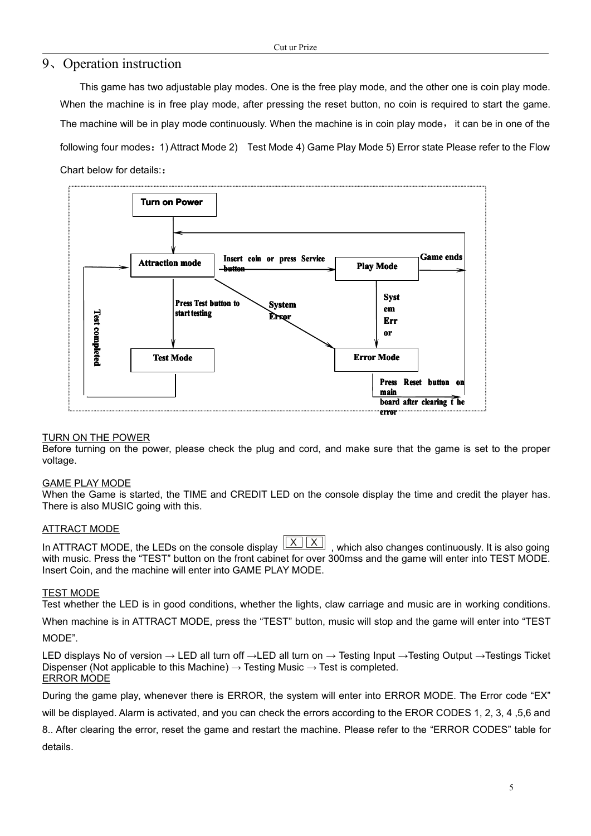#### <span id="page-5-0"></span>9、Operation instruction

This game has two adjustable play modes. One is the free play mode, and the other one is coin play mode. When the machine is in free play mode, after pressing the reset button, no coin is required to start the game. The machine will be in play mode continuously. When the machine is in coin play mode, it can be in one of the following four modes:1) Attract Mode 2) Test Mode 4) Game Play Mode 5) Error state Please refer to the Flow Chart below for details::



#### TURN ON THE POWER

Before turning on the power, please check the plug and cord, and make sure that the game is set to the proper voltage.

#### GAME PLAY MODE

When the Game is started, the TIME and CREDIT LED on the console display the time and credit the player has. There is also MUSIC going with this.

#### ATTRACT MODE

In ATTRACT MODE, the LEDs on the console display  $\frac{\mid X \mid \mid X}{\mid X}$ , which also changes continuously. It is also going with music. Press the "TEST" button on the front cabinet for over 300mss and the game will enter into TEST MODE. Insert Coin, and the machine will enter into GAME PLAY MODE.

#### TEST MODE

Test whether the LED is in good conditions, whether the lights, claw carriage and music are in working conditions.

When machine is in ATTRACT MODE, press the "TEST" button, music will stop and the game will enter into "TEST MODE".

LED displays No of version <sup>→</sup> LED all turn off →LED all turn on <sup>→</sup> Testing Input →Testing Output →Testings Ticket Dispenser (Not applicable to this Machine)  $\rightarrow$  Testing Music  $\rightarrow$  Test is completed. ERROR MODE

During the game play, whenever there is ERROR, the system will enter into ERROR MODE. The Error code "EX"

will be displayed. Alarm is activated, and you can check the errors according to the EROR CODES 1, 2, 3, 4 ,5,6 and

8.. After clearing the error, reset the game and restart the machine. Please refer to the "ERROR CODES" table for details.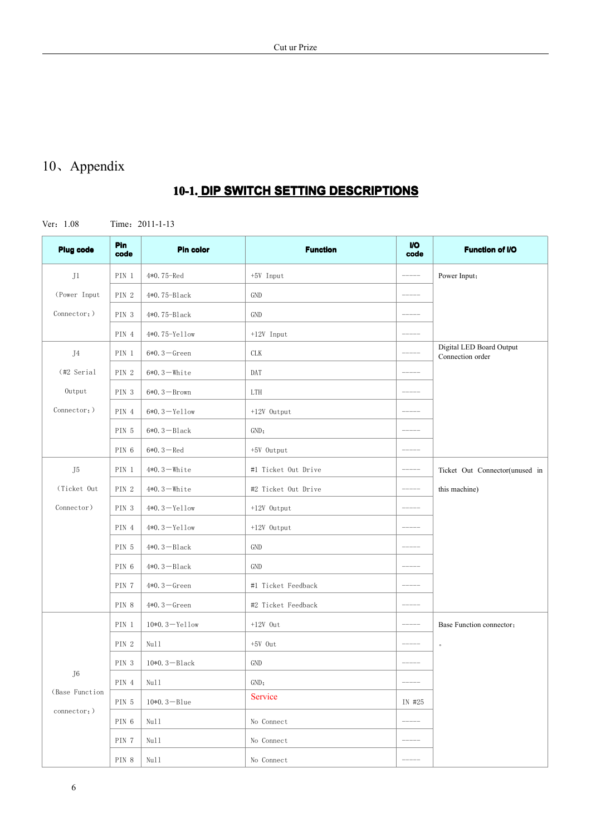# <span id="page-6-0"></span>10、Appendix

# **10-1. DIP SWITCH SETTING DESCRIPTIONS**

Ver:1.08 Time:2011-1-13

<span id="page-6-1"></span>

| <b>Plug code</b> | Pin<br>code | <b>Pin color</b>  | <b>VO</b><br>code   | <b>Function of I/O</b> |                                              |  |
|------------------|-------------|-------------------|---------------------|------------------------|----------------------------------------------|--|
| J1               | PIN 1       | 4*0.75-Red        | $+5V$ Input         | $------$               | Power Input;                                 |  |
| (Power Input     | PIN 2       | 4*0.75-Black      | GND                 |                        |                                              |  |
| Connector; )     | PIN 3       | 4*0.75-Black      | GND                 |                        |                                              |  |
|                  | PIN 4       | 4*0.75-Yellow     | $+12V$ Input        |                        |                                              |  |
| J4               | PIN 1       | $6*0.3 - Green$   | CLK                 |                        | Digital LED Board Output<br>Connection order |  |
| (#2 Serial       | PIN 2       | $6*0.3 -$ White   | DAT                 |                        |                                              |  |
| Output           | PIN 3       | $6*0.3 - Brown$   | LTH                 |                        |                                              |  |
| Connector; )     | PIN 4       | $6*0.3 - Ye11ow$  | $+12V$ Output       |                        |                                              |  |
|                  | PIN 5       | $6*0.3 - Black$   | GND;                |                        |                                              |  |
|                  | PIN 6       | $6*0.3 - Red$     | +5V Output          |                        |                                              |  |
| J <sub>5</sub>   | PIN 1       | $4*0.3$ -White    | #1 Ticket Out Drive |                        | Ticket Out Connector(unused in               |  |
| (Ticket Out      | PIN 2       | $4*0.3$ – White   | #2 Ticket Out Drive |                        | this machine)                                |  |
| Connector)       | PIN 3       | $4*0.3 - Ye11ow$  | +12V Output         |                        |                                              |  |
|                  | PIN 4       | $4*0.3 - Ye11ow$  | $+12V$ Output       |                        |                                              |  |
|                  | PIN 5       | $4*0.3 - Black$   | GND                 |                        |                                              |  |
|                  | PIN 6       | $4*0.3 - Black$   | GND                 |                        |                                              |  |
|                  | PIN 7       | $4*0.3 -$ Green   | #1 Ticket Feedback  |                        |                                              |  |
|                  | PIN 8       | $4*0.3 - Green$   | #2 Ticket Feedback  |                        |                                              |  |
|                  | PIN 1       | $10*0.3 - Ye11ow$ | $+12V$ Out          |                        | Base Function connector:                     |  |
|                  | PIN 2       | Null              | $+5V$ Out           | $------$               | $\circ$                                      |  |
|                  | PIN 3       | $10*0.3 - Black$  | GND                 |                        |                                              |  |
| J6               | PIN 4       | Nu11              | GND;                |                        |                                              |  |
| (Base Function   | PIN 5       | $10*0.3 - B1ue$   | Service             | IN #25                 |                                              |  |
| connector;)      | PIN 6       | Null              | No Connect          |                        |                                              |  |
|                  | PIN 7       | Null              | No Connect          |                        |                                              |  |
|                  | $\rm PIN$ 8 | Nu11              | No Connect          | $-----$                |                                              |  |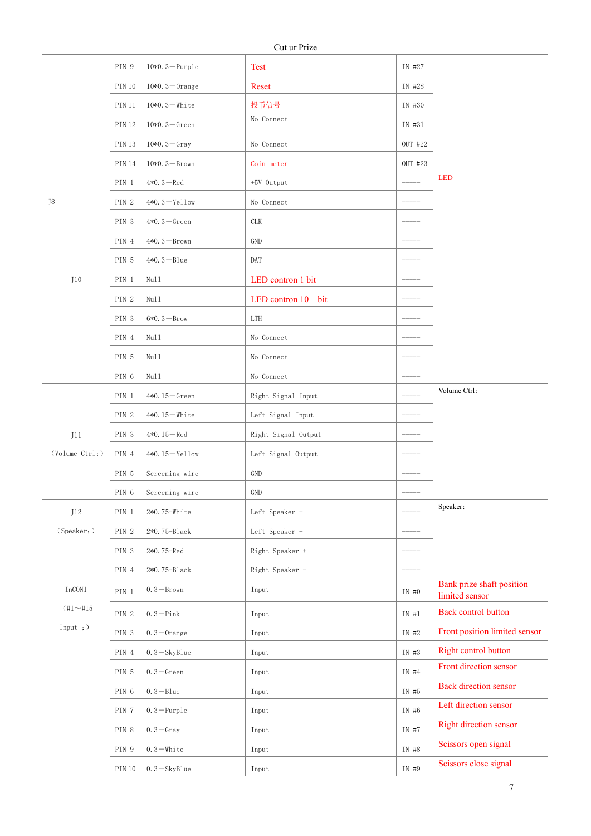<span id="page-7-1"></span><span id="page-7-0"></span>

|                            | PIN 9            | $10*0.3 - \text{Purple}$ | <b>Test</b>         | IN #27      |                                             |
|----------------------------|------------------|--------------------------|---------------------|-------------|---------------------------------------------|
|                            | <b>PIN 10</b>    | $10*0.3 - 0$ range       | Reset               | IN #28      |                                             |
|                            | <b>PIN 11</b>    | $10*0.3 -$ White         | 投币信号                | IN #30      |                                             |
|                            | <b>PIN 12</b>    | $10*0.3 - Green$         | No Connect          | IN #31      |                                             |
|                            | <b>PIN 13</b>    | $10*0.3 - Gray$          | No Connect          | OUT #22     |                                             |
|                            | <b>PIN 14</b>    | $10*0.3 - Brown$         | Coin meter          | OUT #23     |                                             |
|                            | PIN 1            | $4*0.3 - Red$            | +5V Output          |             | <b>LED</b>                                  |
| J8                         | PIN <sub>2</sub> | $4*0.3 - Ye11ow$         | No Connect          |             |                                             |
|                            | PIN <sub>3</sub> | $4*0.3 - Green$          | <b>CLK</b>          |             |                                             |
|                            | PIN 4            | $4*0.3 - Brown$          | GND                 |             |                                             |
|                            | PIN 5            | $4*0.3 - B$ lue          | DAT                 |             |                                             |
| J10                        | PIN 1            | Null                     | LED contron 1 bit   |             |                                             |
|                            | PIN 2            | Null                     | LED contron 10 bit  |             |                                             |
|                            | PIN <sub>3</sub> | $6*0.3 - Brow$           | LTH                 |             |                                             |
|                            | PIN 4            | Null                     | No Connect          |             |                                             |
|                            | PIN 5            | Null                     | No Connect          |             |                                             |
|                            | PIN 6            | Null                     | No Connect          | ------      |                                             |
|                            | PIN 1            | 4*0.15 $-$ Green         | Right Signal Input  |             | Volume Ctrl;                                |
|                            | PIN <sub>2</sub> | $4*0.15 -$ White         | Left Signal Input   |             |                                             |
| J11                        | PIN <sub>3</sub> | 4*0.15 $-$ Red           | Right Signal Output |             |                                             |
| (Volume Ctr1; )            | PIN 4            | $4*0.15 - Ye11ow$        | Left Signal Output  |             |                                             |
|                            | PIN 5            | Screening wire           | GND                 |             |                                             |
|                            | PIN 6            | Screening wire           | <b>GND</b>          |             |                                             |
| J12                        | PIN 1            | 2*0.75-White             | Left Speaker +      |             | Speaker;                                    |
| (Speaker;)                 | PIN 2            | $2*0.75 - B1ack$         | Left Speaker -      | $--- - - -$ |                                             |
|                            | PIN 3            | $2*0.75 - Red$           | Right Speaker +     | $------ -$  |                                             |
|                            | PIN 4            | $2*0.75 - Black$         | Right Speaker -     |             |                                             |
| $InCON1$                   | PIN 1            | $0.3 - Brown$            | Input               | IN #0       | Bank prize shaft position<br>limited sensor |
| $(\sharp1\!\sim\!\sharp15$ | PIN 2            | $0.3 -$ Pink             | Input               | IN #1       | Back control button                         |
| Input ; )                  | PIN 3            | $0.3 - 0$ range          | Input               | IN #2       | Front position limited sensor               |
|                            | PIN 4            | $0.3 - SkyBlue$          | Input               | IN #3       | Right control button                        |
|                            | PIN 5            | $0.3 -$ Green            | Input               | IN #4       | Front direction sensor                      |
|                            | PIN 6            | $0.3 - B$ lue            | Input               | IN #5       | <b>Back direction sensor</b>                |
|                            | PIN 7            | $0.3 -$ Purple           | Input               | IN #6       | Left direction sensor                       |
|                            | PIN 8            | $0.3 -$ Gray             | Input               | IN #7       | Right direction sensor                      |
|                            | PIN 9            | $0.3 -$ White            | Input               | IN #8       | Scissors open signal                        |
|                            | <b>PIN 10</b>    | $0.3 -$ SkyBlue          | Input               | IN #9       | Scissors close signal                       |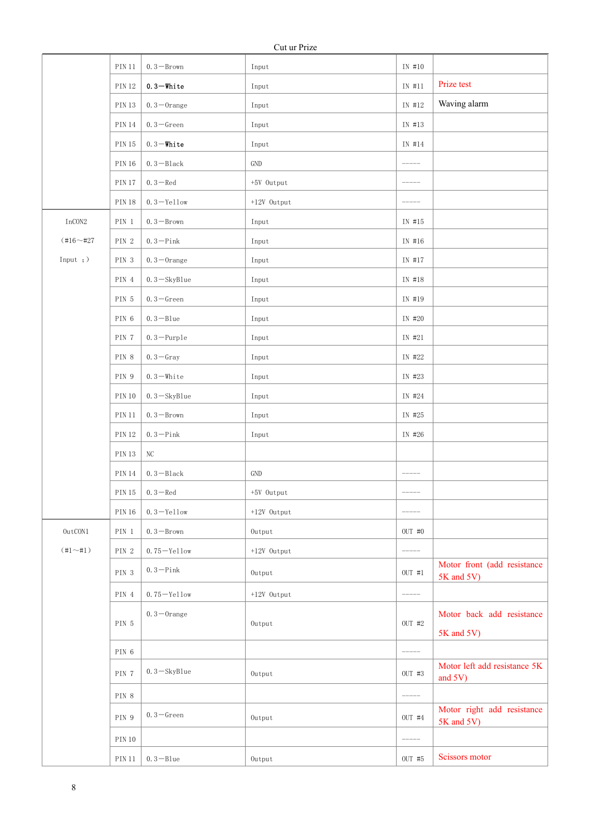|  |               | <b>PIN 11</b> | $0.3 -$ Brown   | Input         | IN #10        |                                           |
|--|---------------|---------------|-----------------|---------------|---------------|-------------------------------------------|
|  |               | <b>PIN 12</b> | $0.3 -$ White   | Input         | IN #11        | Prize test                                |
|  |               | <b>PIN 13</b> | $0.3$ -Orange   | Input         | IN #12        | Waving alarm                              |
|  |               | <b>PIN 14</b> | $0.3 -$ Green   | Input         | IN #13        |                                           |
|  |               | <b>PIN 15</b> | $0.3 -$ White   | Input         | IN #14        |                                           |
|  |               | <b>PIN 16</b> | $0.3 - Black$   | GND           | $--- - - -$   |                                           |
|  |               | <b>PIN 17</b> | $0.3 - Red$     | +5V Output    | $--- - - -$   |                                           |
|  |               | <b>PIN 18</b> | $0.3 -$ Yellow  | +12V Output   | $-----$       |                                           |
|  | $InCON2$      | $\rm PIN\_1$  | $0.3 - Brown$   | Input         | IN #15        |                                           |
|  | $(+16 - 427)$ | PIN 2         | $0.3 -$ Pink    | Input         | IN #16        |                                           |
|  | Input $;$ $)$ | PIN 3         | $0.3 - 0$ range | Input         | IN #17        |                                           |
|  |               | PIN 4         | $0.3 - SkyBlue$ | Input         | IN #18        |                                           |
|  |               | PIN 5         | $0.3 -$ Green   | Input         | IN #19        |                                           |
|  |               | PIN 6         | $0.3 - B$ lue   | Input         | IN #20        |                                           |
|  |               | PIN 7         | $0.3 -$ Purple  | Input         | IN #21        |                                           |
|  |               | PIN 8         | $0.3 -$ Gray    | Input         | IN #22        |                                           |
|  |               | PIN 9         | $0.3 -$ White   | Input         | IN #23        |                                           |
|  |               | <b>PIN 10</b> | $0.3 -$ SkyBlue | Input         | IN #24        |                                           |
|  |               | <b>PIN 11</b> | $0.3 - Brown$   | Input         | IN #25        |                                           |
|  |               | <b>PIN 12</b> | $0.3 -$ Pink    | Input         | IN #26        |                                           |
|  |               | $\rm PIN$ 13  | $\rm NC$        |               |               |                                           |
|  |               | $\rm PIN$ 14  | $0.3 - Black$   | GND           | $- - - - -$   |                                           |
|  |               | <b>PIN 15</b> | $0.3 - Red$     | +5V Output    | $---$         |                                           |
|  |               | $\rm PIN$ 16  | $0.3 -$ Yellow  | +12V Output   | $- - - - - -$ |                                           |
|  | $0$ ut $CON1$ | PIN 1         | $0.3 - Brown$   | Output        | $OUT$ #0      |                                           |
|  | $(+1\\ -\#1)$ | PIN 2         | $0.75 -$ Yellow | $+12V$ Output | $--- - - -$   |                                           |
|  |               | PIN 3         | $0.3 -$ Pink    | $0$ utput     | $OUT$ #1      | Motor front (add resistance<br>5K and 5V) |
|  |               | $\rm PIN$ 4   | $0.75 -$ Yellow | $+12V$ Output | $--- - - -$   |                                           |
|  |               | PIN 5         | $0.3 - 0$ range | Output        | OUT #2        | Motor back add resistance                 |
|  |               |               |                 |               |               | 5K and 5V)                                |
|  |               | PIN 6         |                 |               |               |                                           |
|  |               | PIN 7         | $0.3 - SkyBlue$ | Output        | $OUT$ #3      | Motor left add resistance 5K<br>and 5V)   |
|  |               | PIN 8         |                 |               |               |                                           |
|  |               | PIN 9         | $0.3 -$ Green   | Output        | $OUT$ #4      | Motor right add resistance<br>5K and 5V)  |
|  |               | $\rm PIN$ 10  |                 |               | $\frac{1}{2}$ |                                           |
|  |               | <b>PIN 11</b> | $0.3 - B$ lue   | Output        | OUT #5        | Scissors motor                            |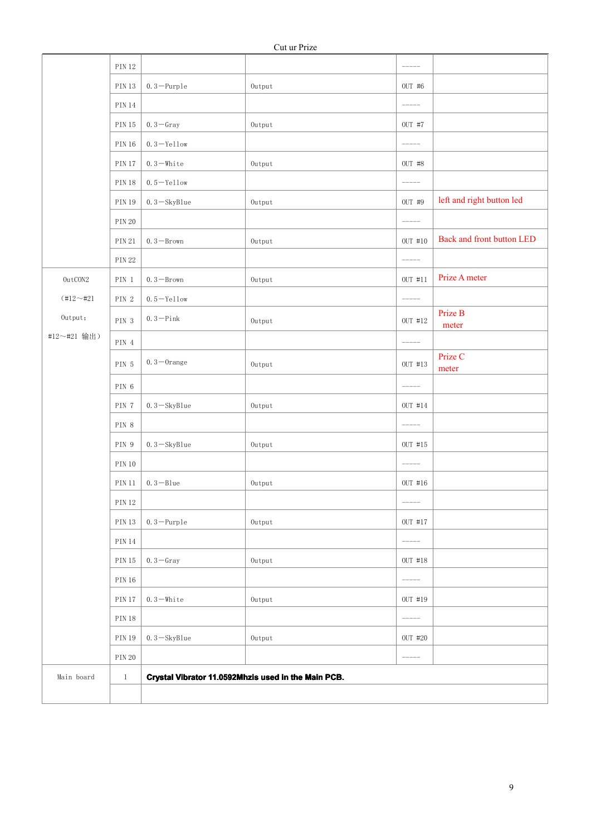|               | <b>PIN 12</b> |                                                     |           | $------$                                                |                           |
|---------------|---------------|-----------------------------------------------------|-----------|---------------------------------------------------------|---------------------------|
|               | <b>PIN 13</b> | $0.3 -$ Purple                                      | Output    | OUT #6                                                  |                           |
|               | <b>PIN 14</b> |                                                     |           | $-----$                                                 |                           |
|               | <b>PIN 15</b> | $0.3 -$ Gray                                        | Output    | $OUT$ #7                                                |                           |
|               | <b>PIN 16</b> | $0.3 -$ Yellow                                      |           | $\scriptstyle{-----}$                                   |                           |
|               | <b>PIN 17</b> | $0.3 -$ White                                       | Output    | OUT #8                                                  |                           |
|               | <b>PIN 18</b> | $0.5 -$ Yellow                                      |           |                                                         |                           |
|               | <b>PIN 19</b> | $0.3 -$ SkyBlue                                     | Output    | OUT #9                                                  | left and right button led |
|               | <b>PIN 20</b> |                                                     |           |                                                         |                           |
|               | <b>PIN 21</b> | $0.3 - Brown$                                       | Output    | $OUT$ #10                                               | Back and front button LED |
|               | <b>PIN 22</b> |                                                     |           | $-----$                                                 |                           |
| 0utCON2       | PIN 1         | $0.3 - Brown$                                       | Output    | $OUT$ #11                                               | Prize A meter             |
| $(+12 - 421)$ | PIN 2         | $0.5 -$ Yellow                                      |           | $\begin{tabular}{cc} - & - & - \\ \hline \end{tabular}$ |                           |
| Output;       | PIN 3         | $0.3 -$ Pink                                        | Output    | OUT #12                                                 | Prize B<br>meter          |
| #12~#21 输出)   | PIN $\,4$     |                                                     |           | $\begin{tabular}{cc} - & - & - \\ \hline \end{tabular}$ |                           |
|               | PIN 5         | $0.3 - 0$ range                                     | Output    | OUT #13                                                 | Prize C<br>meter          |
|               | PIN 6         |                                                     |           |                                                         |                           |
|               | PIN 7         | $0.3 -$ SkyBlue                                     | Output    | OUT #14                                                 |                           |
|               | PIN 8         |                                                     |           | $\qquad \qquad - - - - -$                               |                           |
|               | PIN 9         | $0.3 -$ SkyBlue                                     | Output    | OUT #15                                                 |                           |
|               | <b>PIN 10</b> |                                                     |           | $- - - - - -$                                           |                           |
|               | <b>PIN 11</b> | $0.3 - B$ lue                                       | Output    | OUT #16                                                 |                           |
|               | <b>PIN 12</b> |                                                     |           | $--- - -$                                               |                           |
|               | $\rm PIN$ 13  | $0.3 -$ Purple                                      | $0$ utput | OUT #17                                                 |                           |
|               | <b>PIN 14</b> |                                                     |           | $\begin{tabular}{cc} - & - & - \\ \hline \end{tabular}$ |                           |
|               | <b>PIN 15</b> | $0.3 -$ Gray                                        | $0$ utput | OUT #18                                                 |                           |
|               | <b>PIN 16</b> |                                                     |           | $\begin{tabular}{cc} - & - & - \\ \hline \end{tabular}$ |                           |
|               | <b>PIN 17</b> | $0.3 -$ White                                       | Output    | OUT #19                                                 |                           |
|               | <b>PIN 18</b> |                                                     |           | $-----$                                                 |                           |
|               | <b>PIN 19</b> | $0.3 - SkyBlue$                                     | $0$ utput | OUT #20                                                 |                           |
|               | <b>PIN 20</b> |                                                     |           | $\begin{tabular}{cc} - & - & - \\ \hline \end{tabular}$ |                           |
| Main board    | $\,1\,$       | Crystal Vibrator 11.0592Mhzis used in the Main PCB. |           |                                                         |                           |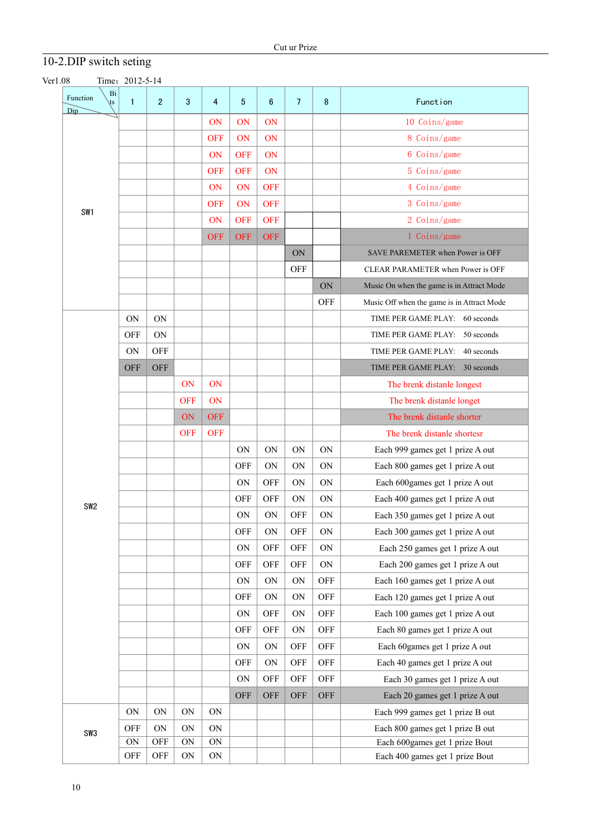# 10-2.DIP switch seting

<span id="page-10-0"></span>

| Function<br>$\sqrt{S}$<br>Dip | Bi<br>$\mathbf{1}$ | $\overline{2}$ | 3          | 4           | 5          | $6\phantom{1}$ | $\overline{7}$ | 8          | Function                                   |
|-------------------------------|--------------------|----------------|------------|-------------|------------|----------------|----------------|------------|--------------------------------------------|
|                               |                    |                |            | <b>ON</b>   | ON         | ON             |                |            | 10 Coins/game                              |
|                               |                    |                |            | <b>OFF</b>  | ON         | ON             |                |            | 8 Coins/game                               |
|                               |                    |                |            | ON          | <b>OFF</b> | ON             |                |            | 6 Coins/game                               |
|                               |                    |                |            | <b>OFF</b>  | <b>OFF</b> | ON             |                |            | 5 Coins/game                               |
|                               |                    |                |            | <b>ON</b>   | ON         | <b>OFF</b>     |                |            | 4 Coins/game                               |
|                               |                    |                |            | <b>OFF</b>  | ON         | <b>OFF</b>     |                |            | 3 Coins/game                               |
| SW <sub>1</sub>               |                    |                |            | ON          | <b>OFF</b> | <b>OFF</b>     |                |            | 2 Coins/game                               |
|                               |                    |                |            | <b>OFF</b>  | <b>OFF</b> | <b>OFF</b>     |                |            | 1 Coins/game                               |
|                               |                    |                |            |             |            |                | ON             |            | SAVE PAREMETER when Power is OFF           |
|                               |                    |                |            |             |            |                | <b>OFF</b>     |            | CLEAR PARAMETER when Power is OFF          |
|                               |                    |                |            |             |            |                |                | ON         | Music On when the game is in Attract Mode  |
|                               |                    |                |            |             |            |                |                | <b>OFF</b> | Music Off when the game is in Attract Mode |
|                               | ON                 | ON             |            |             |            |                |                |            | TIME PER GAME PLAY: 60 seconds             |
|                               | <b>OFF</b>         | ON             |            |             |            |                |                |            | TIME PER GAME PLAY: 50 seconds             |
|                               | ON                 | <b>OFF</b>     |            |             |            |                |                |            | TIME PER GAME PLAY: 40 seconds             |
|                               | <b>OFF</b>         | <b>OFF</b>     |            |             |            |                |                |            | TIME PER GAME PLAY: 30 seconds             |
|                               |                    |                | ON         | ON          |            |                |                |            | The brenk distanle longest                 |
|                               |                    |                | <b>OFF</b> | ON          |            |                |                |            | The brenk distanle longet                  |
|                               |                    |                | ON         | <b>OFF</b>  |            |                |                |            | The brenk distanle shorter                 |
|                               |                    |                | <b>OFF</b> | <b>OFF</b>  |            |                |                |            | The brenk distanle shortesr                |
|                               |                    |                |            |             | <b>ON</b>  | <b>ON</b>      | ON             | <b>ON</b>  | Each 999 games get 1 prize A out           |
|                               |                    |                |            |             | <b>OFF</b> | <b>ON</b>      | <b>ON</b>      | ON         | Each 800 games get 1 prize A out           |
|                               |                    |                |            |             | ON         | <b>OFF</b>     | ON             | ON         | Each 600games get 1 prize A out            |
|                               |                    |                |            |             | <b>OFF</b> | <b>OFF</b>     | ON             | ON         | Each 400 games get 1 prize A out           |
| SW <sub>2</sub>               |                    |                |            |             | <b>ON</b>  | ON             | <b>OFF</b>     | ON         | Each 350 games get 1 prize A out           |
|                               |                    |                |            |             | OFF        | ON             | OFF            | ON         | Each 300 games get 1 prize A out           |
|                               |                    |                |            |             | <b>ON</b>  | <b>OFF</b>     | OFF            | ON         | Each 250 games get 1 prize A out           |
|                               |                    |                |            |             | OFF        | <b>OFF</b>     | OFF            | ON         | Each 200 games get 1 prize A out           |
|                               |                    |                |            |             | <b>ON</b>  | ON             | ON             | <b>OFF</b> | Each 160 games get 1 prize A out           |
|                               |                    |                |            |             | OFF        | ON             | ON             | OFF        | Each 120 games get 1 prize A out           |
|                               |                    |                |            |             | ON         | <b>OFF</b>     | ON             | OFF        | Each 100 games get 1 prize A out           |
|                               |                    |                |            |             | OFF        | <b>OFF</b>     | ON             | <b>OFF</b> | Each 80 games get 1 prize A out            |
|                               |                    |                |            |             | <b>ON</b>  | ON             | OFF            | OFF        | Each 60games get 1 prize A out             |
|                               |                    |                |            |             | OFF        | ON             | OFF            | OFF        | Each 40 games get 1 prize A out            |
|                               |                    |                |            |             | ON         | <b>OFF</b>     | OFF            | OFF        | Each 30 games get 1 prize A out            |
|                               |                    |                |            |             | OFF        | <b>OFF</b>     | <b>OFF</b>     | OFF        | Each 20 games get 1 prize A out            |
|                               | ON                 | ON             | ON         | ON          |            |                |                |            | Each 999 games get 1 prize B out           |
|                               | OFF                | ON             | ON         | ON          |            |                |                |            | Each 800 games get 1 prize B out           |
| SW3                           | ON                 | OFF            | ON         | ON          |            |                |                |            | Each 600games get 1 prize Bout             |
|                               | OFF                | OFF            | ON         | $\mbox{ON}$ |            |                |                |            | Each 400 games get 1 prize Bout            |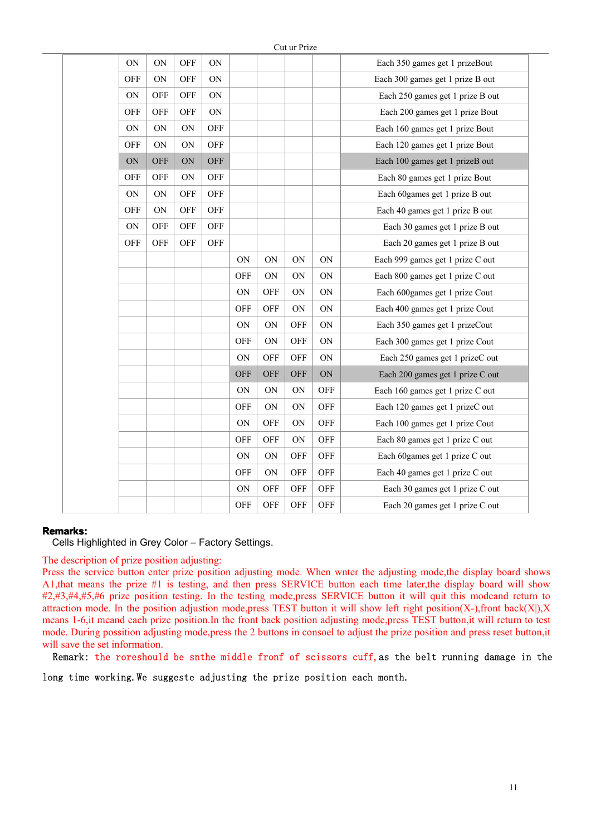|            |            |            |            |            |             | $\mathsf{cut}$ and $\mathsf{H}\mathsf{H}\mathsf{Z}\mathsf{C}$ |            |                                  |
|------------|------------|------------|------------|------------|-------------|---------------------------------------------------------------|------------|----------------------------------|
| ON         | ON         | <b>OFF</b> | ON         |            |             |                                                               |            | Each 350 games get 1 prizeBout   |
| OFF        | ON         | <b>OFF</b> | ON         |            |             |                                                               |            | Each 300 games get 1 prize B out |
| ON         | <b>OFF</b> | <b>OFF</b> | ON         |            |             |                                                               |            | Each 250 games get 1 prize B out |
| <b>OFF</b> | OFF        | <b>OFF</b> | ON         |            |             |                                                               |            | Each 200 games get 1 prize Bout  |
| ON         | ON         | ON         | <b>OFF</b> |            |             |                                                               |            | Each 160 games get 1 prize Bout  |
| OFF        | ON         | <b>ON</b>  | <b>OFF</b> |            |             |                                                               |            | Each 120 games get 1 prize Bout  |
| ON         | <b>OFF</b> | ON         | <b>OFF</b> |            |             |                                                               |            | Each 100 games get 1 prizeB out  |
| OFF        | OFF        | ON         | <b>OFF</b> |            |             |                                                               |            | Each 80 games get 1 prize Bout   |
| ON         | ON         | <b>OFF</b> | <b>OFF</b> |            |             |                                                               |            | Each 60games get 1 prize B out   |
| OFF        | ON         | <b>OFF</b> | <b>OFF</b> |            |             |                                                               |            | Each 40 games get 1 prize B out  |
| ON         | <b>OFF</b> | <b>OFF</b> | <b>OFF</b> |            |             |                                                               |            | Each 30 games get 1 prize B out  |
| OFF        | OFF        | <b>OFF</b> | <b>OFF</b> |            |             |                                                               |            | Each 20 games get 1 prize B out  |
|            |            |            |            | ON         | ON          | ON                                                            | ON         | Each 999 games get 1 prize C out |
|            |            |            |            | OFF        | $\mbox{ON}$ | ON                                                            | ON         | Each 800 games get 1 prize C out |
|            |            |            |            | ON         | OFF         | ON                                                            | ON         | Each 600games get 1 prize Cout   |
|            |            |            |            | OFF        | <b>OFF</b>  | ON                                                            | ON         | Each 400 games get 1 prize Cout  |
|            |            |            |            | ON         | $\mbox{ON}$ | OFF                                                           | <b>ON</b>  | Each 350 games get 1 prizeCout   |
|            |            |            |            | <b>OFF</b> | ON          | OFF                                                           | ON         | Each 300 games get 1 prize Cout  |
|            |            |            |            | ON         | <b>OFF</b>  | OFF                                                           | ON         | Each 250 games get 1 prizeC out  |
|            |            |            |            | OFF        | <b>OFF</b>  | <b>OFF</b>                                                    | ON         | Each 200 games get 1 prize C out |
|            |            |            |            | ON         | ON          | ON                                                            | OFF        | Each 160 games get 1 prize C out |
|            |            |            |            | <b>OFF</b> | ON          | ON                                                            | OFF        | Each 120 games get 1 prizeC out  |
|            |            |            |            | ON         | <b>OFF</b>  | ON                                                            | OFF        | Each 100 games get 1 prize Cout  |
|            |            |            |            | <b>OFF</b> | <b>OFF</b>  | ON                                                            | <b>OFF</b> | Each 80 games get 1 prize C out  |
|            |            |            |            | ON         | $\mbox{ON}$ | OFF                                                           | OFF        | Each 60games get 1 prize C out   |
|            |            |            |            | <b>OFF</b> | ON          | OFF                                                           | OFF        | Each 40 games get 1 prize C out  |
|            |            |            |            | ON         | OFF         | OFF                                                           | OFF        | Each 30 games get 1 prize C out  |
|            |            |            |            | OFF        | OFF         | OFF                                                           | OFF        | Each 20 games get 1 prize C out  |
|            |            |            |            |            |             |                                                               |            |                                  |

 $C<sub>1</sub> + \cdots + D<sub>n</sub>$ 

#### **Remarks: Remarks: Remarks:**

Cells Highlighted in Grey Color – Factory Settings.

The description of prize position adjusting:

Press the service button enter prize position adjusting mode. When wnter the adjusting mode,the display board shows A1,that means the prize #1 is testing, and then press SERVICE button each time later,the display board will show #2,#3,#4,#5,#6 prize position testing. In the testing mode,press SERVICE button it will quit this modeand return to attraction mode. In the position adjustion mode,press TEST button it will show left right position(X-),front back(X|),X means 1-6,it meand each prize position.In the front back position adjusting mode,press TEST button,it will return to test mode. During possition adjusting mode, press the 2 buttons in consoel to adjust the prize position and press reset button, it will save the set information.

Remark: the roreshould be snthe middle fronf of scissors cuff,as the belt running damage in the

long time working.We suggeste adjusting the prize position each month.